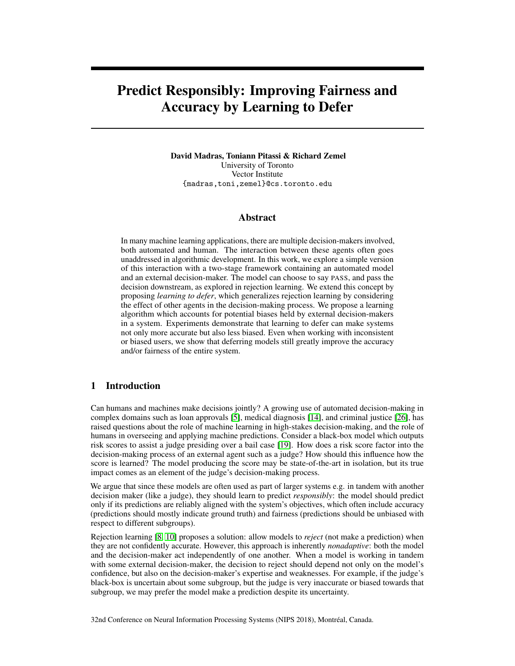# Predict Responsibly: Improving Fairness and Accuracy by Learning to Defer

David Madras, Toniann Pitassi & Richard Zemel University of Toronto Vector Institute {madras,toni,zemel}@cs.toronto.edu

#### Abstract

In many machine learning applications, there are multiple decision-makers involved, both automated and human. The interaction between these agents often goes unaddressed in algorithmic development. In this work, we explore a simple version of this interaction with a two-stage framework containing an automated model and an external decision-maker. The model can choose to say PASS, and pass the decision downstream, as explored in rejection learning. We extend this concept by proposing *learning to defer*, which generalizes rejection learning by considering the effect of other agents in the decision-making process. We propose a learning algorithm which accounts for potential biases held by external decision-makers in a system. Experiments demonstrate that learning to defer can make systems not only more accurate but also less biased. Even when working with inconsistent or biased users, we show that deferring models still greatly improve the accuracy and/or fairness of the entire system.

## 1 Introduction

Can humans and machines make decisions jointly? A growing use of automated decision-making in complex domains such as loan approvals [\[5\]](#page-8-0), medical diagnosis [\[14\]](#page-8-1), and criminal justice [\[26\]](#page-9-0), has raised questions about the role of machine learning in high-stakes decision-making, and the role of humans in overseeing and applying machine predictions. Consider a black-box model which outputs risk scores to assist a judge presiding over a bail case [\[19\]](#page-9-1). How does a risk score factor into the decision-making process of an external agent such as a judge? How should this influence how the score is learned? The model producing the score may be state-of-the-art in isolation, but its true impact comes as an element of the judge's decision-making process.

We argue that since these models are often used as part of larger systems e.g. in tandem with another decision maker (like a judge), they should learn to predict *responsibly*: the model should predict only if its predictions are reliably aligned with the system's objectives, which often include accuracy (predictions should mostly indicate ground truth) and fairness (predictions should be unbiased with respect to different subgroups).

Rejection learning [\[8,](#page-8-2) [10\]](#page-8-3) proposes a solution: allow models to *reject* (not make a prediction) when they are not confidently accurate. However, this approach is inherently *nonadaptive*: both the model and the decision-maker act independently of one another. When a model is working in tandem with some external decision-maker, the decision to reject should depend not only on the model's confidence, but also on the decision-maker's expertise and weaknesses. For example, if the judge's black-box is uncertain about some subgroup, but the judge is very inaccurate or biased towards that subgroup, we may prefer the model make a prediction despite its uncertainty.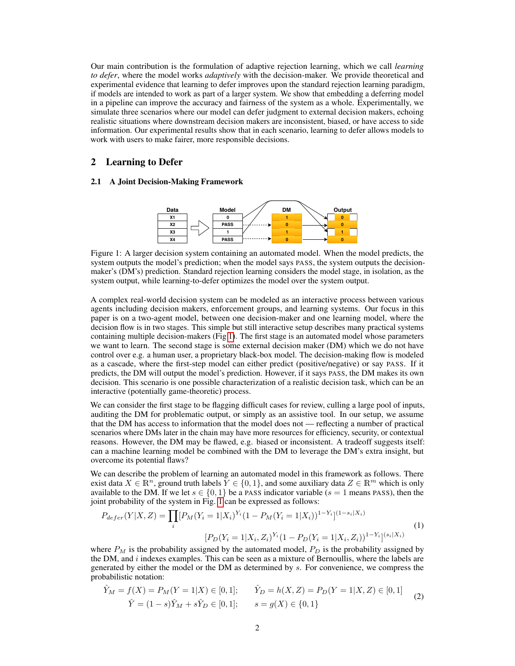Our main contribution is the formulation of adaptive rejection learning, which we call *learning to defer*, where the model works *adaptively* with the decision-maker. We provide theoretical and experimental evidence that learning to defer improves upon the standard rejection learning paradigm, if models are intended to work as part of a larger system. We show that embedding a deferring model in a pipeline can improve the accuracy and fairness of the system as a whole. Experimentally, we simulate three scenarios where our model can defer judgment to external decision makers, echoing realistic situations where downstream decision makers are inconsistent, biased, or have access to side information. Our experimental results show that in each scenario, learning to defer allows models to work with users to make fairer, more responsible decisions.

## 2 Learning to Defer

#### <span id="page-1-0"></span>2.1 A Joint Decision-Making Framework



Figure 1: A larger decision system containing an automated model. When the model predicts, the system outputs the model's prediction; when the model says PASS, the system outputs the decisionmaker's (DM's) prediction. Standard rejection learning considers the model stage, in isolation, as the system output, while learning-to-defer optimizes the model over the system output.

A complex real-world decision system can be modeled as an interactive process between various agents including decision makers, enforcement groups, and learning systems. Our focus in this paper is on a two-agent model, between one decision-maker and one learning model, where the decision flow is in two stages. This simple but still interactive setup describes many practical systems containing multiple decision-makers (Fig [1\)](#page-1-0). The first stage is an automated model whose parameters we want to learn. The second stage is some external decision maker (DM) which we do not have control over e.g. a human user, a proprietary black-box model. The decision-making flow is modeled as a cascade, where the first-step model can either predict (positive/negative) or say PASS. If it predicts, the DM will output the model's prediction. However, if it says PASS, the DM makes its own decision. This scenario is one possible characterization of a realistic decision task, which can be an interactive (potentially game-theoretic) process.

We can consider the first stage to be flagging difficult cases for review, culling a large pool of inputs, auditing the DM for problematic output, or simply as an assistive tool. In our setup, we assume that the DM has access to information that the model does not — reflecting a number of practical scenarios where DMs later in the chain may have more resources for efficiency, security, or contextual reasons. However, the DM may be flawed, e.g. biased or inconsistent. A tradeoff suggests itself: can a machine learning model be combined with the DM to leverage the DM's extra insight, but overcome its potential flaws?

We can describe the problem of learning an automated model in this framework as follows. There exist data  $X \in \mathbb{R}^n$ , ground truth labels  $Y \in \{0, 1\}$ , and some auxiliary data  $Z \in \mathbb{R}^m$  which is only available to the DM. If we let  $s \in \{0, 1\}$  be a PASS indicator variable ( $s = 1$  means PASS), then the joint probability of the system in Fig. [1](#page-1-0) can be expressed as follows:

<span id="page-1-1"></span>
$$
P_{defer}(Y|X,Z) = \prod_{i} [P_M(Y_i = 1|X_i)^{Y_i} (1 - P_M(Y_i = 1|X_i))^{1 - Y_i}]^{(1 - s_i|X_i)}
$$
  
\n
$$
[P_D(Y_i = 1|X_i, Z_i)^{Y_i} (1 - P_D(Y_i = 1|X_i, Z_i))^{1 - Y_i}]^{(s_i|X_i)}
$$
\n(1)

where  $P_M$  is the probability assigned by the automated model,  $P_D$  is the probability assigned by the DM, and  $i$  indexes examples. This can be seen as a mixture of Bernoullis, where the labels are generated by either the model or the DM as determined by s. For convenience, we compress the probabilistic notation:

$$
\hat{Y}_M = f(X) = P_M(Y = 1|X) \in [0, 1]; \qquad \hat{Y}_D = h(X, Z) = P_D(Y = 1|X, Z) \in [0, 1]
$$
\n
$$
\hat{Y} = (1 - s)\hat{Y}_M + s\hat{Y}_D \in [0, 1]; \qquad s = g(X) \in \{0, 1\}
$$
\n(2)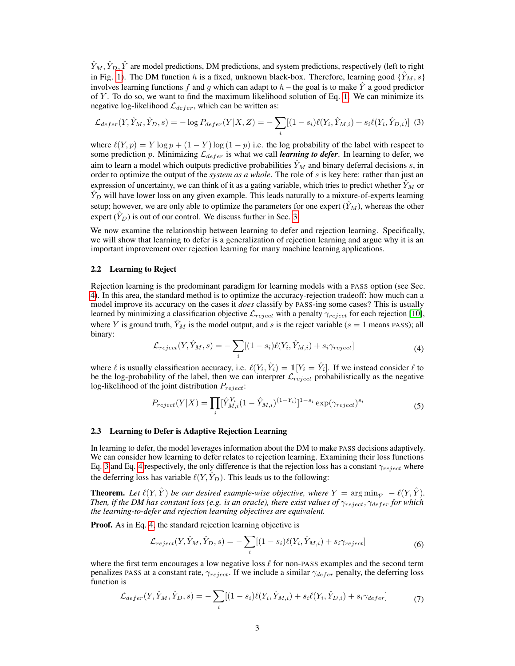$\hat{Y}_M, \hat{Y}_D, \hat{Y}$  are model predictions, DM predictions, and system predictions, respectively (left to right in Fig. [1\)](#page-1-0). The DM function h is a fixed, unknown black-box. Therefore, learning good  $\{\hat{Y}_M, s\}$ involves learning functions f and g which can adapt to  $h$  – the goal is to make  $\hat{Y}$  a good predictor of  $Y$ . To do so, we want to find the maximum likelihood solution of Eq. [1.](#page-1-1) We can minimize its negative log-likelihood  $\mathcal{L}_{defer}$ , which can be written as:

<span id="page-2-0"></span>
$$
\mathcal{L}_{defer}(Y, \hat{Y}_M, \hat{Y}_D, s) = -\log P_{defer}(Y|X, Z) = -\sum_i [(1 - s_i)\ell(Y_i, \hat{Y}_{M,i}) + s_i\ell(Y_i, \hat{Y}_{D,i})]
$$
(3)

where  $\ell(Y, p) = Y \log p + (1 - Y) \log (1 - p)$  i.e. the log probability of the label with respect to some prediction p. Minimizing  $\mathcal{L}_{defer}$  is what we call *learning to defer*. In learning to defer, we aim to learn a model which outputs predictive probabilities  $\hat{Y}_M$  and binary deferral decisions s, in order to optimize the output of the *system as a whole*. The role of s is key here: rather than just an expression of uncertainty, we can think of it as a gating variable, which tries to predict whether  $\hat{Y}_M$  or  $\hat{Y}_D$  will have lower loss on any given example. This leads naturally to a mixture-of-experts learning setup; however, we are only able to optimize the parameters for one expert  $(Y_M)$ , whereas the other expert  $(\hat{Y}_D)$  is out of our control. We discuss further in Sec. [3.](#page-3-0)

We now examine the relationship between learning to defer and rejection learning. Specifically, we will show that learning to defer is a generalization of rejection learning and argue why it is an important improvement over rejection learning for many machine learning applications.

#### 2.2 Learning to Reject

Rejection learning is the predominant paradigm for learning models with a PASS option (see Sec. [4\)](#page-5-0). In this area, the standard method is to optimize the accuracy-rejection tradeoff: how much can a model improve its accuracy on the cases it *does* classify by PASS-ing some cases? This is usually learned by minimizing a classification objective  $\mathcal{L}_{reject}$  with a penalty  $\gamma_{reject}$  for each rejection [\[10\]](#page-8-3), where Y is ground truth,  $\hat{Y}_M$  is the model output, and s is the reject variable (s = 1 means PASS); all binary:

<span id="page-2-1"></span>
$$
\mathcal{L}_{reject}(Y, \hat{Y}_M, s) = -\sum_{i} [(1 - s_i)\ell(Y_i, \hat{Y}_{M,i}) + s_i \gamma_{reject}] \tag{4}
$$

where  $\ell$  is usually classification accuracy, i.e.  $\ell(Y_i, \hat{Y}_i) = \mathbb{1}[Y_i = \hat{Y}_i]$ . If we instead consider  $\ell$  to be the log-probability of the label, then we can interpret  $\mathcal{L}_{reject}$  probabilistically as the negative log-likelihood of the joint distribution  $P_{reject}$ :

$$
P_{reject}(Y|X) = \prod_{i} [\hat{Y}_{M,i}^{Y_i} (1 - \hat{Y}_{M,i})^{(1 - Y_i)}]^{1 - s_i} \exp(\gamma_{reject})^{s_i}
$$
\n(5)

#### <span id="page-2-2"></span>2.3 Learning to Defer is Adaptive Rejection Learning

In learning to defer, the model leverages information about the DM to make PASS decisions adaptively. We can consider how learning to defer relates to rejection learning. Examining their loss functions Eq. [3](#page-2-0) and Eq. [4](#page-2-1) respectively, the only difference is that the rejection loss has a constant  $\gamma_{reject}$  where the deferring loss has variable  $\ell(Y, \hat{Y}_D)$ . This leads us to the following:

**Theorem.** Let  $\ell(Y, \hat{Y})$  be our desired example-wise objective, where  $Y = \arg \min_{\hat{Y}} - \ell(Y, \hat{Y})$ . *Then, if the DM has constant loss (e.g. is an oracle), there exist values of*  $\gamma_{reject}, \gamma_{def}$  *for which the learning-to-defer and rejection learning objectives are equivalent.*

**Proof.** As in Eq. [4,](#page-2-1) the standard rejection learning objective is

$$
\mathcal{L}_{reject}(Y, \hat{Y}_M, \hat{Y}_D, s) = -\sum_i [(1 - s_i)\ell(Y_i, \hat{Y}_{M,i}) + s_i \gamma_{reject}] \tag{6}
$$

where the first term encourages a low negative loss  $\ell$  for non-PASS examples and the second term penalizes PASS at a constant rate,  $\gamma_{reject}$ . If we include a similar  $\gamma_{def}$  penalty, the deferring loss function is

$$
\mathcal{L}_{defer}(Y, \hat{Y}_M, \hat{Y}_D, s) = -\sum_i [(1-s_i)\ell(Y_i, \hat{Y}_{M,i}) + s_i\ell(Y_i, \hat{Y}_{D,i}) + s_i\gamma_{defer}] \tag{7}
$$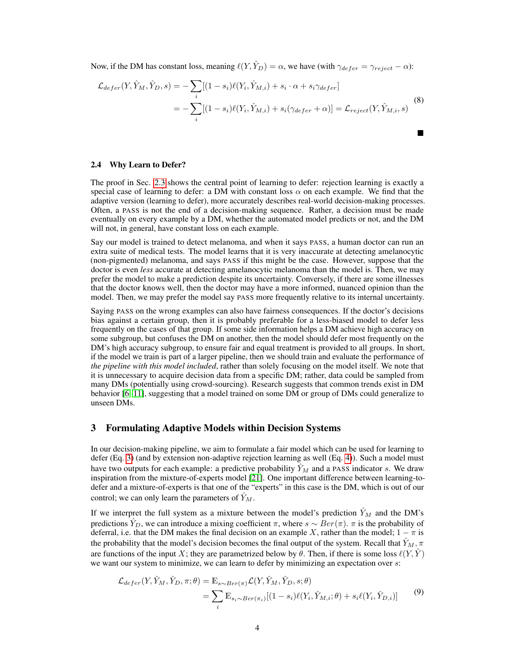Now, if the DM has constant loss, meaning  $\ell(Y, \hat{Y}_D) = \alpha$ , we have (with  $\gamma_{defer} = \gamma_{reject} - \alpha$ ):

$$
\mathcal{L}_{defer}(Y, \hat{Y}_M, \hat{Y}_D, s) = -\sum_i [(1 - s_i)\ell(Y_i, \hat{Y}_{M,i}) + s_i \cdot \alpha + s_i \gamma_{defer}]
$$
  
= 
$$
-\sum_i [(1 - s_i)\ell(Y_i, \hat{Y}_{M,i}) + s_i(\gamma_{defer} + \alpha)] = \mathcal{L}_{reject}(Y, \hat{Y}_{M,i}, s)
$$
 (8)

 $\blacksquare$ 

#### 2.4 Why Learn to Defer?

The proof in Sec. [2.3](#page-2-2) shows the central point of learning to defer: rejection learning is exactly a special case of learning to defer: a DM with constant loss  $\alpha$  on each example. We find that the adaptive version (learning to defer), more accurately describes real-world decision-making processes. Often, a PASS is not the end of a decision-making sequence. Rather, a decision must be made eventually on every example by a DM, whether the automated model predicts or not, and the DM will not, in general, have constant loss on each example.

Say our model is trained to detect melanoma, and when it says PASS, a human doctor can run an extra suite of medical tests. The model learns that it is very inaccurate at detecting amelanocytic (non-pigmented) melanoma, and says PASS if this might be the case. However, suppose that the doctor is even *less* accurate at detecting amelanocytic melanoma than the model is. Then, we may prefer the model to make a prediction despite its uncertainty. Conversely, if there are some illnesses that the doctor knows well, then the doctor may have a more informed, nuanced opinion than the model. Then, we may prefer the model say PASS more frequently relative to its internal uncertainty.

Saying PASS on the wrong examples can also have fairness consequences. If the doctor's decisions bias against a certain group, then it is probably preferable for a less-biased model to defer less frequently on the cases of that group. If some side information helps a DM achieve high accuracy on some subgroup, but confuses the DM on another, then the model should defer most frequently on the DM's high accuracy subgroup, to ensure fair and equal treatment is provided to all groups. In short, if the model we train is part of a larger pipeline, then we should train and evaluate the performance of *the pipeline with this model included*, rather than solely focusing on the model itself. We note that it is unnecessary to acquire decision data from a specific DM; rather, data could be sampled from many DMs (potentially using crowd-sourcing). Research suggests that common trends exist in DM behavior [\[6,](#page-8-4) [11\]](#page-8-5), suggesting that a model trained on some DM or group of DMs could generalize to unseen DMs.

#### <span id="page-3-0"></span>3 Formulating Adaptive Models within Decision Systems

In our decision-making pipeline, we aim to formulate a fair model which can be used for learning to defer (Eq. [3\)](#page-2-0) (and by extension non-adaptive rejection learning as well (Eq. [4\)](#page-2-1)). Such a model must have two outputs for each example: a predictive probability  $\hat{Y}_M$  and a PASS indicator s. We draw inspiration from the mixture-of-experts model [\[21\]](#page-9-2). One important difference between learning-todefer and a mixture-of-experts is that one of the "experts" in this case is the DM, which is out of our control; we can only learn the parameters of  $\hat{Y}_M$ .

If we interpret the full system as a mixture between the model's prediction  $\hat{Y}_M$  and the DM's predictions  $\hat{Y}_D$ , we can introduce a mixing coefficient  $\pi$ , where  $s \sim Ber(\pi)$ .  $\pi$  is the probability of deferral, i.e. that the DM makes the final decision on an example X, rather than the model;  $1 - \pi$  is the probability that the model's decision becomes the final output of the system. Recall that  $Y_M$ ,  $\pi$ are functions of the input X; they are parametrized below by  $\theta$ . Then, if there is some loss  $\ell(Y, \hat{Y})$ we want our system to minimize, we can learn to defer by minimizing an expectation over s:

<span id="page-3-1"></span>
$$
\mathcal{L}_{defer}(Y, \hat{Y}_M, \hat{Y}_D, \pi; \theta) = \mathbb{E}_{s \sim Ber(\pi)} \mathcal{L}(Y, \hat{Y}_M, \hat{Y}_D, s; \theta)
$$
  
= 
$$
\sum_i \mathbb{E}_{s_i \sim Ber(\pi_i)} [(1 - s_i) \ell(Y_i, \hat{Y}_{M,i}; \theta) + s_i \ell(Y_i, \hat{Y}_{D,i})]
$$
(9)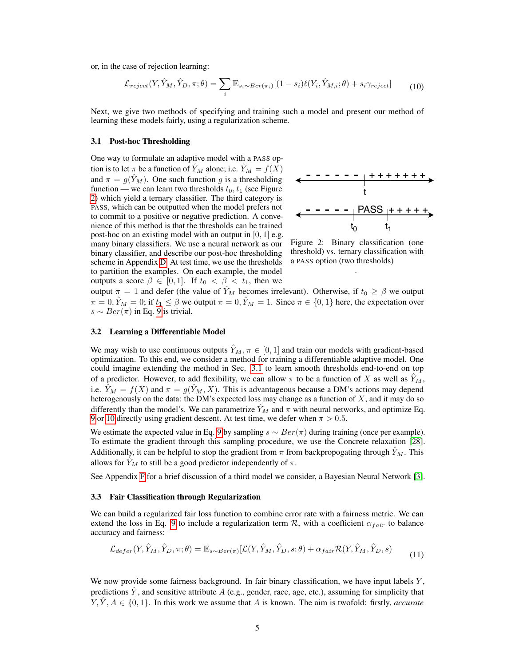or, in the case of rejection learning:

<span id="page-4-2"></span>
$$
\mathcal{L}_{reject}(Y, \hat{Y}_M, \hat{Y}_D, \pi; \theta) = \sum_i \mathbb{E}_{s_i \sim Ber(\pi_i)} [(1 - s_i) \ell(Y_i, \hat{Y}_{M,i}; \theta) + s_i \gamma_{reject}] \tag{10}
$$

Next, we give two methods of specifying and training such a model and present our method of learning these models fairly, using a regularization scheme.

#### <span id="page-4-1"></span>3.1 Post-hoc Thresholding

One way to formulate an adaptive model with a PASS option is to let  $\pi$  be a function of  $Y_M$  alone; i.e.  $Y_M = f(X)$ and  $\pi = g(\hat{Y}_M)$ . One such function g is a thresholding function — we can learn two thresholds  $t_0, t_1$  (see Figure [2\)](#page-4-0) which yield a ternary classifier. The third category is PASS, which can be outputted when the model prefers not to commit to a positive or negative prediction. A convenience of this method is that the thresholds can be trained post-hoc on an existing model with an output in  $[0, 1]$  e.g. many binary classifiers. We use a neural network as our binary classifier, and describe our post-hoc thresholding scheme in Appendix [D.](#page-12-0) At test time, we use the thresholds to partition the examples. On each example, the model outputs a score  $\beta \in [0,1]$ . If  $t_0 < \beta < t_1$ , then we

<span id="page-4-0"></span>

Figure 2: Binary classification (one threshold) vs. ternary classification with a PASS option (two thresholds)

.

output  $\pi = 1$  and defer (the value of  $\hat{Y}_M$  becomes irrelevant). Otherwise, if  $t_0 \ge \beta$  we output  $\pi = 0$ ,  $\hat{Y}_M = 0$ ; if  $t_1 \le \beta$  we output  $\pi = 0$ ,  $\hat{Y}_M = 1$ . Since  $\pi \in \{0, 1\}$  here, the expectation over  $s \sim Ber(\pi)$  in Eq. [9](#page-3-1) is trivial.

#### <span id="page-4-4"></span>3.2 Learning a Differentiable Model

We may wish to use continuous outputs  $\hat{Y}_M, \pi \in [0, 1]$  and train our models with gradient-based optimization. To this end, we consider a method for training a differentiable adaptive model. One could imagine extending the method in Sec. [3.1](#page-4-1) to learn smooth thresholds end-to-end on top of a predictor. However, to add flexibility, we can allow  $\pi$  to be a function of X as well as  $\hat{Y}_M$ , i.e.  $\hat{Y}_M = f(X)$  and  $\pi = g(\hat{Y}_M, X)$ . This is advantageous because a DM's actions may depend heterogenously on the data: the DM's expected loss may change as a function of  $X$ , and it may do so differently than the model's. We can parametrize  $\tilde{Y}_M$  and  $\pi$  with neural networks, and optimize Eq. [9](#page-3-1) or [10](#page-4-2) directly using gradient descent. At test time, we defer when  $\pi > 0.5$ .

We estimate the expected value in Eq. [9](#page-3-1) by sampling  $s \sim Ber(\pi)$  during training (once per example). To estimate the gradient through this sampling procedure, we use the Concrete relaxation [\[28\]](#page-9-3). Additionally, it can be helpful to stop the gradient from  $\pi$  from backpropogating through  $Y_M$ . This allows for  $\hat{Y}_M$  to still be a good predictor independently of  $\pi$ .

See Appendix [F](#page-13-0) for a brief discussion of a third model we consider, a Bayesian Neural Network [\[3\]](#page-8-6).

#### 3.3 Fair Classification through Regularization

We can build a regularized fair loss function to combine error rate with a fairness metric. We can extend the loss in Eq. [9](#page-3-1) to include a regularization term  $\mathcal{R}$ , with a coefficient  $\alpha_{fair}$  to balance accuracy and fairness:

<span id="page-4-3"></span>
$$
\mathcal{L}_{defer}(Y, \hat{Y}_M, \hat{Y}_D, \pi; \theta) = \mathbb{E}_{s \sim Ber(\pi)}[\mathcal{L}(Y, \hat{Y}_M, \hat{Y}_D, s; \theta) + \alpha_{fair} \mathcal{R}(Y, \hat{Y}_M, \hat{Y}_D, s)
$$
(11)

We now provide some fairness background. In fair binary classification, we have input labels  $Y$ , predictions  $\hat{Y}$ , and sensitive attribute A (e.g., gender, race, age, etc.), assuming for simplicity that  $Y, \hat{Y}, A \in \{0, 1\}$ . In this work we assume that A is known. The aim is twofold: firstly, *accurate*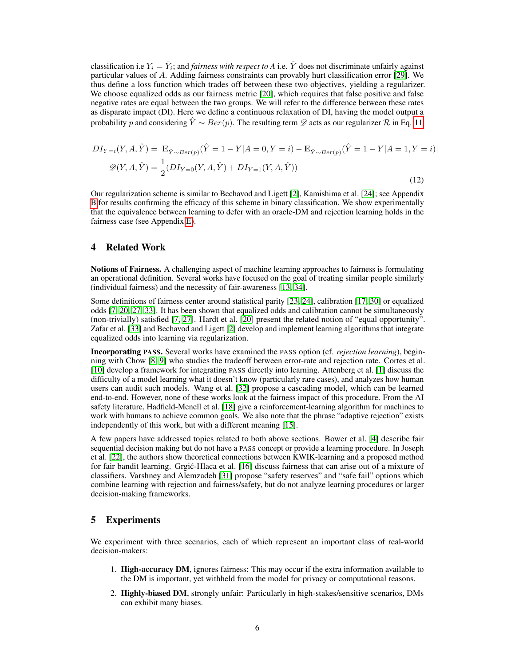classification i.e  $Y_i = \hat{Y}_i$ ; and *fairness with respect to A* i.e.  $\hat{Y}$  does not discriminate unfairly against particular values of A. Adding fairness constraints can provably hurt classification error [\[29\]](#page-9-4). We thus define a loss function which trades off between these two objectives, yielding a regularizer. We choose equalized odds as our fairness metric [\[20\]](#page-9-5), which requires that false positive and false negative rates are equal between the two groups. We will refer to the difference between these rates as disparate impact (DI). Here we define a continuous relaxation of DI, having the model output a probability p and considering  $\hat{Y} \sim Ber(p)$ . The resulting term  $\mathscr{D}$  acts as our regularizer R in Eq. [11:](#page-4-3)

$$
DI_{Y=i}(Y, A, \hat{Y}) = |\mathbb{E}_{\hat{Y} \sim Ber(p)}(\hat{Y} = 1 - Y | A = 0, Y = i) - \mathbb{E}_{\hat{Y} \sim Ber(p)}(\hat{Y} = 1 - Y | A = 1, Y = i)|
$$
  

$$
\mathscr{D}(Y, A, \hat{Y}) = \frac{1}{2}(DI_{Y=0}(Y, A, \hat{Y}) + DI_{Y=1}(Y, A, \hat{Y}))
$$
(12)

Our regularization scheme is similar to Bechavod and Ligett [\[2\]](#page-8-7), Kamishima et al. [\[24\]](#page-9-6); see Appendix [B](#page-11-0) for results confirming the efficacy of this scheme in binary classification. We show experimentally that the equivalence between learning to defer with an oracle-DM and rejection learning holds in the fairness case (see Appendix [E\)](#page-13-1).

## <span id="page-5-0"></span>4 Related Work

Notions of Fairness. A challenging aspect of machine learning approaches to fairness is formulating an operational definition. Several works have focused on the goal of treating similar people similarly (individual fairness) and the necessity of fair-awareness [\[13,](#page-8-8) [34\]](#page-10-0).

Some definitions of fairness center around statistical parity [\[23,](#page-9-7) [24\]](#page-9-6), calibration [\[17,](#page-9-8) [30\]](#page-9-9) or equalized odds [\[7,](#page-8-9) [20,](#page-9-5) [27,](#page-9-10) [33\]](#page-10-1). It has been shown that equalized odds and calibration cannot be simultaneously (non-trivially) satisfied [\[7,](#page-8-9) [27\]](#page-9-10). Hardt et al. [\[20\]](#page-9-5) present the related notion of "equal opportunity". Zafar et al. [\[33\]](#page-10-1) and Bechavod and Ligett [\[2\]](#page-8-7) develop and implement learning algorithms that integrate equalized odds into learning via regularization.

Incorporating PASS. Several works have examined the PASS option (cf. *rejection learning*), beginning with Chow [\[8,](#page-8-2) [9\]](#page-8-10) who studies the tradeoff between error-rate and rejection rate. Cortes et al. [\[10\]](#page-8-3) develop a framework for integrating PASS directly into learning. Attenberg et al. [\[1\]](#page-8-11) discuss the difficulty of a model learning what it doesn't know (particularly rare cases), and analyzes how human users can audit such models. Wang et al. [\[32\]](#page-9-11) propose a cascading model, which can be learned end-to-end. However, none of these works look at the fairness impact of this procedure. From the AI safety literature, Hadfield-Menell et al. [\[18\]](#page-9-12) give a reinforcement-learning algorithm for machines to work with humans to achieve common goals. We also note that the phrase "adaptive rejection" exists independently of this work, but with a different meaning [\[15\]](#page-9-13).

A few papers have addressed topics related to both above sections. Bower et al. [\[4\]](#page-8-12) describe fair sequential decision making but do not have a PASS concept or provide a learning procedure. In Joseph et al. [\[22\]](#page-9-14), the authors show theoretical connections between KWIK-learning and a proposed method for fair bandit learning. Grgić-Hlaca et al. [\[16\]](#page-9-15) discuss fairness that can arise out of a mixture of classifiers. Varshney and Alemzadeh [\[31\]](#page-9-16) propose "safety reserves" and "safe fail" options which combine learning with rejection and fairness/safety, but do not analyze learning procedures or larger decision-making frameworks.

## 5 Experiments

We experiment with three scenarios, each of which represent an important class of real-world decision-makers:

- 1. High-accuracy DM, ignores fairness: This may occur if the extra information available to the DM is important, yet withheld from the model for privacy or computational reasons.
- 2. Highly-biased DM, strongly unfair: Particularly in high-stakes/sensitive scenarios, DMs can exhibit many biases.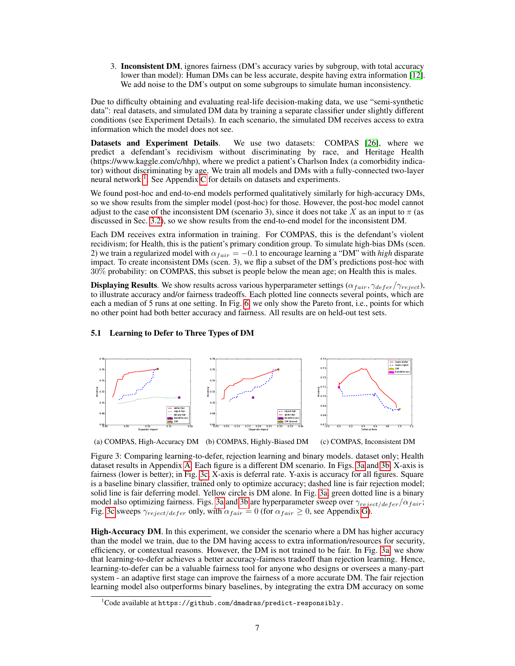3. Inconsistent DM, ignores fairness (DM's accuracy varies by subgroup, with total accuracy lower than model): Human DMs can be less accurate, despite having extra information [\[12\]](#page-8-13). We add noise to the DM's output on some subgroups to simulate human inconsistency.

Due to difficulty obtaining and evaluating real-life decision-making data, we use "semi-synthetic data": real datasets, and simulated DM data by training a separate classifier under slightly different conditions (see Experiment Details). In each scenario, the simulated DM receives access to extra information which the model does not see.

Datasets and Experiment Details. We use two datasets: COMPAS [\[26\]](#page-9-0), where we predict a defendant's recidivism without discriminating by race, and Heritage Health (https://www.kaggle.com/c/hhp), where we predict a patient's Charlson Index (a comorbidity indicator) without discriminating by age. We train all models and DMs with a fully-connected two-layer neural network<sup>[1](#page-6-0)</sup>. See Appendix [C](#page-12-1) for details on datasets and experiments.

We found post-hoc and end-to-end models performed qualitatively similarly for high-accuracy DMs, so we show results from the simpler model (post-hoc) for those. However, the post-hoc model cannot adjust to the case of the inconsistent DM (scenario 3), since it does not take X as an input to  $\pi$  (as discussed in Sec. [3.2\)](#page-4-4), so we show results from the end-to-end model for the inconsistent DM.

Each DM receives extra information in training. For COMPAS, this is the defendant's violent recidivism; for Health, this is the patient's primary condition group. To simulate high-bias DMs (scen. 2) we train a regularized model with  $\alpha_{fair} = -0.1$  to encourage learning a "DM" with *high* disparate impact. To create inconsistent DMs (scen. 3), we flip a subset of the DM's predictions post-hoc with 30% probability: on COMPAS, this subset is people below the mean age; on Health this is males.

**Displaying Results**. We show results across various hyperparameter settings ( $\alpha_{fair}, \gamma_{defer}/\gamma_{reject}$ ), to illustrate accuracy and/or fairness tradeoffs. Each plotted line connects several points, which are each a median of 5 runs at one setting. In Fig. [6,](#page-11-1) we only show the Pareto front, i.e., points for which no other point had both better accuracy and fairness. All results are on held-out test sets.

<span id="page-6-1"></span>

#### <span id="page-6-2"></span>5.1 Learning to Defer to Three Types of DM

(a) COMPAS, High-Accuracy DM (b) COMPAS, Highly-Biased DM (c) COMPAS, Inconsistent DM

Figure 3: Comparing learning-to-defer, rejection learning and binary models. dataset only; Health dataset results in Appendix [A.](#page-11-2) Each figure is a different DM scenario. In Figs. [3a](#page-6-1) and [3b,](#page-6-1) X-axis is fairness (lower is better); in Fig. [3c,](#page-6-1) X-axis is deferral rate. Y-axis is accuracy for all figures. Square is a baseline binary classifier, trained only to optimize accuracy; dashed line is fair rejection model; solid line is fair deferring model. Yellow circle is DM alone. In Fig. [3a,](#page-6-1) green dotted line is a binary model also optimizing fairness. Figs. [3a](#page-6-1) and [3b](#page-6-1) are hyperparameter sweep over  $\gamma_{reject/defer}/\alpha_{fair}$ ; Fig. [3c](#page-6-1) sweeps  $\gamma_{reject/defer}$  only, with  $\alpha_{fair} = 0$  (for  $\alpha_{fair} \geq 0$ , see Appendix  $\vec{G}$ ).

High-Accuracy DM. In this experiment, we consider the scenario where a DM has higher accuracy than the model we train, due to the DM having access to extra information/resources for security, efficiency, or contextual reasons. However, the DM is not trained to be fair. In Fig. [3a,](#page-6-1) we show that learning-to-defer achieves a better accuracy-fairness tradeoff than rejection learning. Hence, learning-to-defer can be a valuable fairness tool for anyone who designs or oversees a many-part system - an adaptive first stage can improve the fairness of a more accurate DM. The fair rejection learning model also outperforms binary baselines, by integrating the extra DM accuracy on some

<span id="page-6-0"></span> $^1$ Code available at <code>https://github.com/dmadras/predict-responsibly.</code>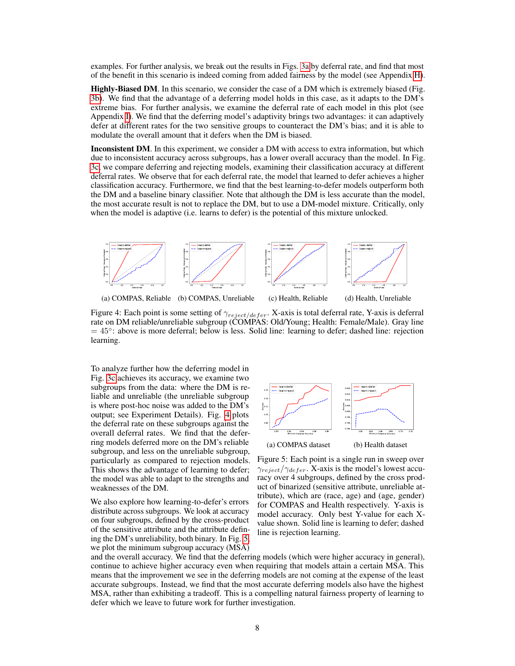examples. For further analysis, we break out the results in Figs. [3a](#page-6-1) by deferral rate, and find that most of the benefit in this scenario is indeed coming from added fairness by the model (see Appendix [H\)](#page-14-0).

Highly-Biased DM. In this scenario, we consider the case of a DM which is extremely biased (Fig. [3b\)](#page-6-1). We find that the advantage of a deferring model holds in this case, as it adapts to the DM's extreme bias. For further analysis, we examine the deferral rate of each model in this plot (see Appendix [I\)](#page-14-1). We find that the deferring model's adaptivity brings two advantages: it can adaptively defer at different rates for the two sensitive groups to counteract the DM's bias; and it is able to modulate the overall amount that it defers when the DM is biased.

Inconsistent DM. In this experiment, we consider a DM with access to extra information, but which due to inconsistent accuracy across subgroups, has a lower overall accuracy than the model. In Fig. [3c,](#page-6-1) we compare deferring and rejecting models, examining their classification accuracy at different deferral rates. We observe that for each deferral rate, the model that learned to defer achieves a higher classification accuracy. Furthermore, we find that the best learning-to-defer models outperform both the DM and a baseline binary classifier. Note that although the DM is less accurate than the model, the most accurate result is not to replace the DM, but to use a DM-model mixture. Critically, only when the model is adaptive (i.e. learns to defer) is the potential of this mixture unlocked.

<span id="page-7-0"></span>

Figure 4: Each point is some setting of  $\gamma_{reject/defer}$ . X-axis is total deferral rate, Y-axis is deferral rate on DM reliable/unreliable subgroup (COMPAS: Old/Young; Health: Female/Male). Gray line = 45◦ : above is more deferral; below is less. Solid line: learning to defer; dashed line: rejection learning.

To analyze further how the deferring model in Fig. [3c](#page-6-1) achieves its accuracy, we examine two subgroups from the data: where the DM is reliable and unreliable (the unreliable subgroup is where post-hoc noise was added to the DM's output; see Experiment Details). Fig. [4](#page-7-0) plots the deferral rate on these subgroups against the overall deferral rates. We find that the deferring models deferred more on the DM's reliable subgroup, and less on the unreliable subgroup, particularly as compared to rejection models. This shows the advantage of learning to defer; the model was able to adapt to the strengths and weaknesses of the DM.

We also explore how learning-to-defer's errors distribute across subgroups. We look at accuracy on four subgroups, defined by the cross-product of the sensitive attribute and the attribute defining the DM's unreliability, both binary. In Fig. [5,](#page-7-1) we plot the minimum subgroup accuracy (MSA)

<span id="page-7-1"></span>

Figure 5: Each point is a single run in sweep over  $\gamma_{reject}/\gamma_{defer}$ . X-axis is the model's lowest accuracy over 4 subgroups, defined by the cross product of binarized (sensitive attribute, unreliable attribute), which are (race, age) and (age, gender) for COMPAS and Health respectively. Y-axis is model accuracy. Only best Y-value for each Xvalue shown. Solid line is learning to defer; dashed line is rejection learning.

and the overall accuracy. We find that the deferring models (which were higher accuracy in general), continue to achieve higher accuracy even when requiring that models attain a certain MSA. This means that the improvement we see in the deferring models are not coming at the expense of the least accurate subgroups. Instead, we find that the most accurate deferring models also have the highest MSA, rather than exhibiting a tradeoff. This is a compelling natural fairness property of learning to defer which we leave to future work for further investigation.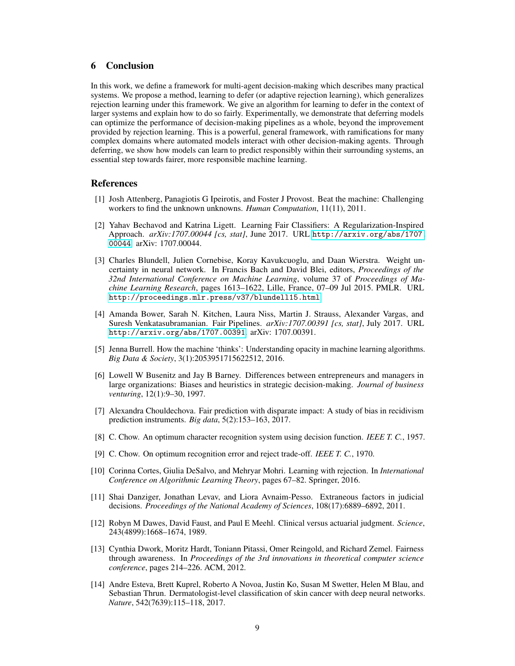#### 6 Conclusion

In this work, we define a framework for multi-agent decision-making which describes many practical systems. We propose a method, learning to defer (or adaptive rejection learning), which generalizes rejection learning under this framework. We give an algorithm for learning to defer in the context of larger systems and explain how to do so fairly. Experimentally, we demonstrate that deferring models can optimize the performance of decision-making pipelines as a whole, beyond the improvement provided by rejection learning. This is a powerful, general framework, with ramifications for many complex domains where automated models interact with other decision-making agents. Through deferring, we show how models can learn to predict responsibly within their surrounding systems, an essential step towards fairer, more responsible machine learning.

#### References

- <span id="page-8-11"></span>[1] Josh Attenberg, Panagiotis G Ipeirotis, and Foster J Provost. Beat the machine: Challenging workers to find the unknown unknowns. *Human Computation*, 11(11), 2011.
- <span id="page-8-7"></span>[2] Yahav Bechavod and Katrina Ligett. Learning Fair Classifiers: A Regularization-Inspired Approach. *arXiv:1707.00044 [cs, stat]*, June 2017. URL [http://arxiv.org/abs/1707.](http://arxiv.org/abs/1707.00044) [00044](http://arxiv.org/abs/1707.00044). arXiv: 1707.00044.
- <span id="page-8-6"></span>[3] Charles Blundell, Julien Cornebise, Koray Kavukcuoglu, and Daan Wierstra. Weight uncertainty in neural network. In Francis Bach and David Blei, editors, *Proceedings of the 32nd International Conference on Machine Learning*, volume 37 of *Proceedings of Machine Learning Research*, pages 1613–1622, Lille, France, 07–09 Jul 2015. PMLR. URL <http://proceedings.mlr.press/v37/blundell15.html>.
- <span id="page-8-12"></span>[4] Amanda Bower, Sarah N. Kitchen, Laura Niss, Martin J. Strauss, Alexander Vargas, and Suresh Venkatasubramanian. Fair Pipelines. *arXiv:1707.00391 [cs, stat]*, July 2017. URL <http://arxiv.org/abs/1707.00391>. arXiv: 1707.00391.
- <span id="page-8-0"></span>[5] Jenna Burrell. How the machine 'thinks': Understanding opacity in machine learning algorithms. *Big Data & Society*, 3(1):2053951715622512, 2016.
- <span id="page-8-4"></span>[6] Lowell W Busenitz and Jay B Barney. Differences between entrepreneurs and managers in large organizations: Biases and heuristics in strategic decision-making. *Journal of business venturing*, 12(1):9–30, 1997.
- <span id="page-8-9"></span>[7] Alexandra Chouldechova. Fair prediction with disparate impact: A study of bias in recidivism prediction instruments. *Big data*, 5(2):153–163, 2017.
- <span id="page-8-2"></span>[8] C. Chow. An optimum character recognition system using decision function. *IEEE T. C.*, 1957.
- <span id="page-8-10"></span>[9] C. Chow. On optimum recognition error and reject trade-off. *IEEE T. C.*, 1970.
- <span id="page-8-3"></span>[10] Corinna Cortes, Giulia DeSalvo, and Mehryar Mohri. Learning with rejection. In *International Conference on Algorithmic Learning Theory*, pages 67–82. Springer, 2016.
- <span id="page-8-5"></span>[11] Shai Danziger, Jonathan Levav, and Liora Avnaim-Pesso. Extraneous factors in judicial decisions. *Proceedings of the National Academy of Sciences*, 108(17):6889–6892, 2011.
- <span id="page-8-13"></span>[12] Robyn M Dawes, David Faust, and Paul E Meehl. Clinical versus actuarial judgment. *Science*, 243(4899):1668–1674, 1989.
- <span id="page-8-8"></span>[13] Cynthia Dwork, Moritz Hardt, Toniann Pitassi, Omer Reingold, and Richard Zemel. Fairness through awareness. In *Proceedings of the 3rd innovations in theoretical computer science conference*, pages 214–226. ACM, 2012.
- <span id="page-8-1"></span>[14] Andre Esteva, Brett Kuprel, Roberto A Novoa, Justin Ko, Susan M Swetter, Helen M Blau, and Sebastian Thrun. Dermatologist-level classification of skin cancer with deep neural networks. *Nature*, 542(7639):115–118, 2017.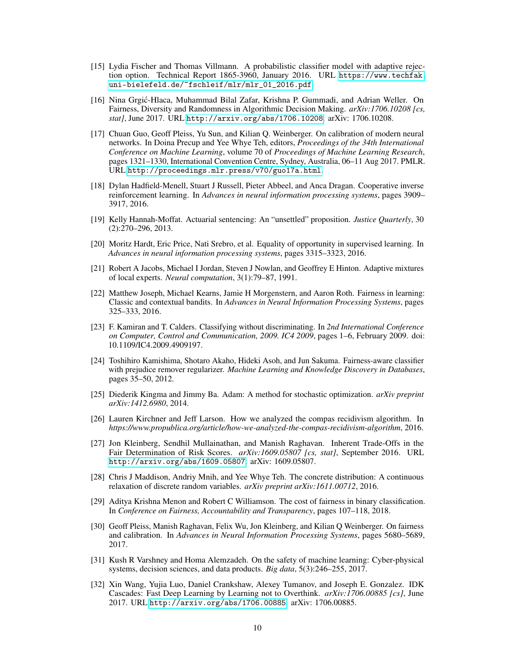- <span id="page-9-13"></span>[15] Lydia Fischer and Thomas Villmann. A probabilistic classifier model with adaptive rejection option. Technical Report 1865-3960, January 2016. URL [https://www.techfak.](https://www.techfak.uni-bielefeld.de/~fschleif/mlr/mlr_01_2016.pdf) [uni-bielefeld.de/~fschleif/mlr/mlr\\_01\\_2016.pdf](https://www.techfak.uni-bielefeld.de/~fschleif/mlr/mlr_01_2016.pdf).
- <span id="page-9-15"></span>[16] Nina Grgic-Hlaca, Muhammad Bilal Zafar, Krishna P. Gummadi, and Adrian Weller. On ´ Fairness, Diversity and Randomness in Algorithmic Decision Making. *arXiv:1706.10208 [cs, stat]*, June 2017. URL <http://arxiv.org/abs/1706.10208>. arXiv: 1706.10208.
- <span id="page-9-8"></span>[17] Chuan Guo, Geoff Pleiss, Yu Sun, and Kilian Q. Weinberger. On calibration of modern neural networks. In Doina Precup and Yee Whye Teh, editors, *Proceedings of the 34th International Conference on Machine Learning*, volume 70 of *Proceedings of Machine Learning Research*, pages 1321–1330, International Convention Centre, Sydney, Australia, 06–11 Aug 2017. PMLR. URL <http://proceedings.mlr.press/v70/guo17a.html>.
- <span id="page-9-12"></span>[18] Dylan Hadfield-Menell, Stuart J Russell, Pieter Abbeel, and Anca Dragan. Cooperative inverse reinforcement learning. In *Advances in neural information processing systems*, pages 3909– 3917, 2016.
- <span id="page-9-1"></span>[19] Kelly Hannah-Moffat. Actuarial sentencing: An "unsettled" proposition. *Justice Quarterly*, 30 (2):270–296, 2013.
- <span id="page-9-5"></span>[20] Moritz Hardt, Eric Price, Nati Srebro, et al. Equality of opportunity in supervised learning. In *Advances in neural information processing systems*, pages 3315–3323, 2016.
- <span id="page-9-2"></span>[21] Robert A Jacobs, Michael I Jordan, Steven J Nowlan, and Geoffrey E Hinton. Adaptive mixtures of local experts. *Neural computation*, 3(1):79–87, 1991.
- <span id="page-9-14"></span>[22] Matthew Joseph, Michael Kearns, Jamie H Morgenstern, and Aaron Roth. Fairness in learning: Classic and contextual bandits. In *Advances in Neural Information Processing Systems*, pages 325–333, 2016.
- <span id="page-9-7"></span>[23] F. Kamiran and T. Calders. Classifying without discriminating. In *2nd International Conference on Computer, Control and Communication, 2009. IC4 2009*, pages 1–6, February 2009. doi: 10.1109/IC4.2009.4909197.
- <span id="page-9-6"></span>[24] Toshihiro Kamishima, Shotaro Akaho, Hideki Asoh, and Jun Sakuma. Fairness-aware classifier with prejudice remover regularizer. *Machine Learning and Knowledge Discovery in Databases*, pages 35–50, 2012.
- <span id="page-9-17"></span>[25] Diederik Kingma and Jimmy Ba. Adam: A method for stochastic optimization. *arXiv preprint arXiv:1412.6980*, 2014.
- <span id="page-9-0"></span>[26] Lauren Kirchner and Jeff Larson. How we analyzed the compas recidivism algorithm. In *https://www.propublica.org/article/how-we-analyzed-the-compas-recidivism-algorithm*, 2016.
- <span id="page-9-10"></span>[27] Jon Kleinberg, Sendhil Mullainathan, and Manish Raghavan. Inherent Trade-Offs in the Fair Determination of Risk Scores. *arXiv:1609.05807 [cs, stat]*, September 2016. URL <http://arxiv.org/abs/1609.05807>. arXiv: 1609.05807.
- <span id="page-9-3"></span>[28] Chris J Maddison, Andriy Mnih, and Yee Whye Teh. The concrete distribution: A continuous relaxation of discrete random variables. *arXiv preprint arXiv:1611.00712*, 2016.
- <span id="page-9-4"></span>[29] Aditya Krishna Menon and Robert C Williamson. The cost of fairness in binary classification. In *Conference on Fairness, Accountability and Transparency*, pages 107–118, 2018.
- <span id="page-9-9"></span>[30] Geoff Pleiss, Manish Raghavan, Felix Wu, Jon Kleinberg, and Kilian Q Weinberger. On fairness and calibration. In *Advances in Neural Information Processing Systems*, pages 5680–5689, 2017.
- <span id="page-9-16"></span>[31] Kush R Varshney and Homa Alemzadeh. On the safety of machine learning: Cyber-physical systems, decision sciences, and data products. *Big data*, 5(3):246–255, 2017.
- <span id="page-9-11"></span>[32] Xin Wang, Yujia Luo, Daniel Crankshaw, Alexey Tumanov, and Joseph E. Gonzalez. IDK Cascades: Fast Deep Learning by Learning not to Overthink. *arXiv:1706.00885 [cs]*, June 2017. URL <http://arxiv.org/abs/1706.00885>. arXiv: 1706.00885.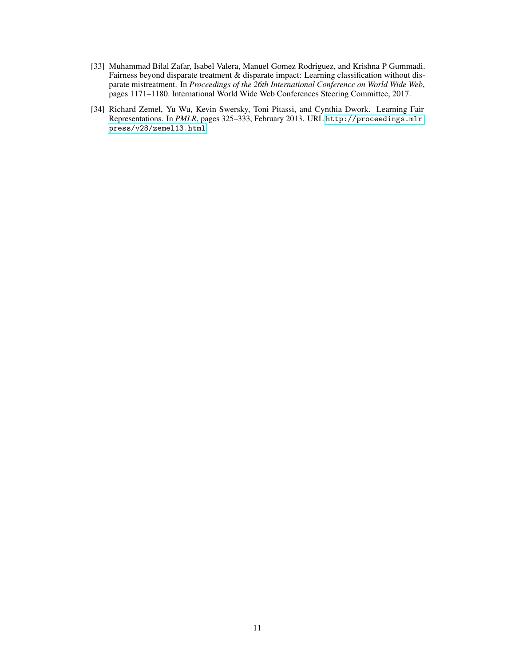- <span id="page-10-1"></span>[33] Muhammad Bilal Zafar, Isabel Valera, Manuel Gomez Rodriguez, and Krishna P Gummadi. Fairness beyond disparate treatment & disparate impact: Learning classification without disparate mistreatment. In *Proceedings of the 26th International Conference on World Wide Web*, pages 1171–1180. International World Wide Web Conferences Steering Committee, 2017.
- <span id="page-10-0"></span>[34] Richard Zemel, Yu Wu, Kevin Swersky, Toni Pitassi, and Cynthia Dwork. Learning Fair Representations. In *PMLR*, pages 325–333, February 2013. URL [http://proceedings.mlr.](http://proceedings.mlr.press/v28/zemel13.html) [press/v28/zemel13.html](http://proceedings.mlr.press/v28/zemel13.html).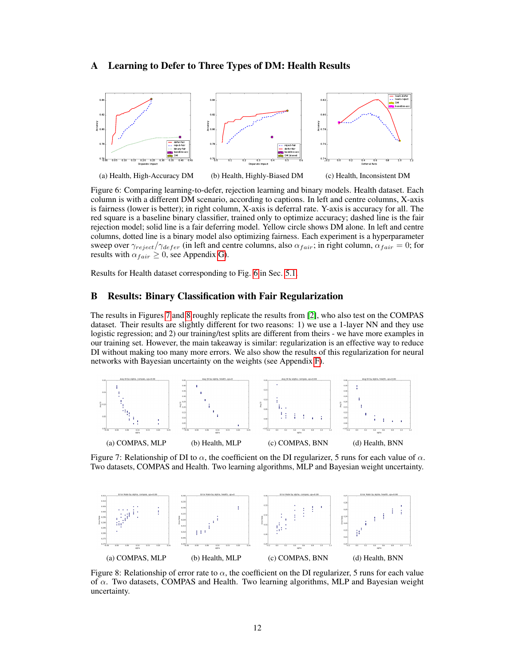#### <span id="page-11-2"></span>A Learning to Defer to Three Types of DM: Health Results

<span id="page-11-1"></span>

(a) Health, High-Accuracy DM (b) Health, Highly-Biased DM (c) Health, Inconsistent DM

Figure 6: Comparing learning-to-defer, rejection learning and binary models. Health dataset. Each column is with a different DM scenario, according to captions. In left and centre columns, X-axis is fairness (lower is better); in right column, X-axis is deferral rate. Y-axis is accuracy for all. The red square is a baseline binary classifier, trained only to optimize accuracy; dashed line is the fair rejection model; solid line is a fair deferring model. Yellow circle shows DM alone. In left and centre columns, dotted line is a binary model also optimizing fairness. Each experiment is a hyperparameter sweep over  $\gamma_{reject}/\gamma_{defer}$  (in left and centre columns, also  $\alpha_{fair}$ ; in right column,  $\alpha_{fair} = 0$ ; for results with  $\alpha_{fair} \geq 0$ , see Appendix [G\)](#page-13-2).

Results for Health dataset corresponding to Fig. [6](#page-11-1) in Sec. [5.1.](#page-6-2)

## <span id="page-11-0"></span>B Results: Binary Classification with Fair Regularization

The results in Figures [7](#page-11-3) and [8](#page-11-4) roughly replicate the results from [\[2\]](#page-8-7), who also test on the COMPAS dataset. Their results are slightly different for two reasons: 1) we use a 1-layer NN and they use logistic regression; and 2) our training/test splits are different from theirs - we have more examples in our training set. However, the main takeaway is similar: regularization is an effective way to reduce DI without making too many more errors. We also show the results of this regularization for neural networks with Bayesian uncertainty on the weights (see Appendix [F\)](#page-13-0).

<span id="page-11-3"></span>

Figure 7: Relationship of DI to  $\alpha$ , the coefficient on the DI regularizer, 5 runs for each value of  $\alpha$ . Two datasets, COMPAS and Health. Two learning algorithms, MLP and Bayesian weight uncertainty.

<span id="page-11-4"></span>

Figure 8: Relationship of error rate to  $\alpha$ , the coefficient on the DI regularizer, 5 runs for each value of  $\alpha$ . Two datasets, COMPAS and Health. Two learning algorithms, MLP and Bayesian weight uncertainty.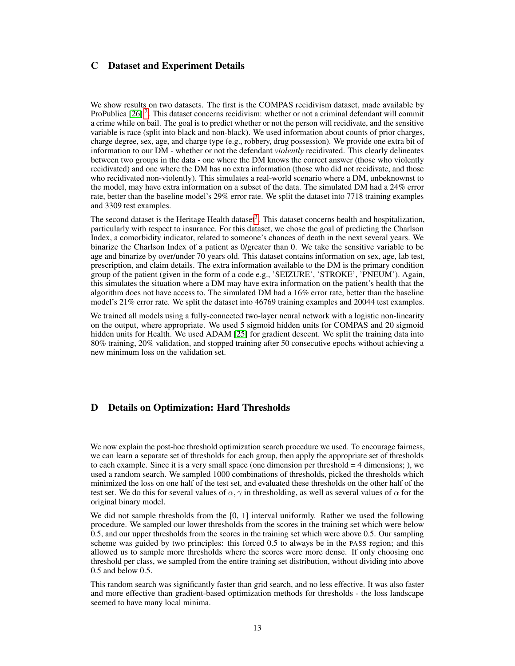## <span id="page-12-1"></span>C Dataset and Experiment Details

We show results on two datasets. The first is the COMPAS recidivism dataset, made available by ProPublica  $[26]$ <sup>[2](#page-13-3)</sup>. This dataset concerns recidivism: whether or not a criminal defendant will commit a crime while on bail. The goal is to predict whether or not the person will recidivate, and the sensitive variable is race (split into black and non-black). We used information about counts of prior charges, charge degree, sex, age, and charge type (e.g., robbery, drug possession). We provide one extra bit of information to our DM - whether or not the defendant *violently* recidivated. This clearly delineates between two groups in the data - one where the DM knows the correct answer (those who violently recidivated) and one where the DM has no extra information (those who did not recidivate, and those who recidivated non-violently). This simulates a real-world scenario where a DM, unbeknownst to the model, may have extra information on a subset of the data. The simulated DM had a 24% error rate, better than the baseline model's 29% error rate. We split the dataset into 7718 training examples and 3309 test examples.

The second dataset is the Heritage Health dataset<sup>[3](#page-13-4)</sup>. This dataset concerns health and hospitalization, particularly with respect to insurance. For this dataset, we chose the goal of predicting the Charlson Index, a comorbidity indicator, related to someone's chances of death in the next several years. We binarize the Charlson Index of a patient as 0/greater than 0. We take the sensitive variable to be age and binarize by over/under 70 years old. This dataset contains information on sex, age, lab test, prescription, and claim details. The extra information available to the DM is the primary condition group of the patient (given in the form of a code e.g., 'SEIZURE', 'STROKE', 'PNEUM'). Again, this simulates the situation where a DM may have extra information on the patient's health that the algorithm does not have access to. The simulated DM had a 16% error rate, better than the baseline model's 21% error rate. We split the dataset into 46769 training examples and 20044 test examples.

We trained all models using a fully-connected two-layer neural network with a logistic non-linearity on the output, where appropriate. We used 5 sigmoid hidden units for COMPAS and 20 sigmoid hidden units for Health. We used ADAM [\[25\]](#page-9-17) for gradient descent. We split the training data into 80% training, 20% validation, and stopped training after 50 consecutive epochs without achieving a new minimum loss on the validation set.

#### <span id="page-12-0"></span>D Details on Optimization: Hard Thresholds

We now explain the post-hoc threshold optimization search procedure we used. To encourage fairness, we can learn a separate set of thresholds for each group, then apply the appropriate set of thresholds to each example. Since it is a very small space (one dimension per threshold  $=$  4 dimensions; ), we used a random search. We sampled 1000 combinations of thresholds, picked the thresholds which minimized the loss on one half of the test set, and evaluated these thresholds on the other half of the test set. We do this for several values of  $\alpha$ ,  $\gamma$  in thresholding, as well as several values of  $\alpha$  for the original binary model.

We did not sample thresholds from the [0, 1] interval uniformly. Rather we used the following procedure. We sampled our lower thresholds from the scores in the training set which were below 0.5, and our upper thresholds from the scores in the training set which were above 0.5. Our sampling scheme was guided by two principles: this forced 0.5 to always be in the PASS region; and this allowed us to sample more thresholds where the scores were more dense. If only choosing one threshold per class, we sampled from the entire training set distribution, without dividing into above 0.5 and below 0.5.

This random search was significantly faster than grid search, and no less effective. It was also faster and more effective than gradient-based optimization methods for thresholds - the loss landscape seemed to have many local minima.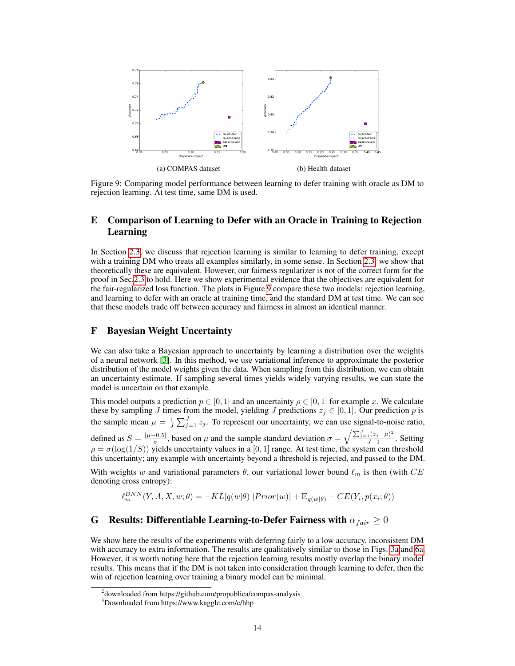<span id="page-13-5"></span>

Figure 9: Comparing model performance between learning to defer training with oracle as DM to rejection learning. At test time, same DM is used.

## <span id="page-13-1"></span>E Comparison of Learning to Defer with an Oracle in Training to Rejection Learning

In Section [2.3,](#page-2-2) we discuss that rejection learning is similar to learning to defer training, except with a training DM who treats all examples similarly, in some sense. In Section [2.3,](#page-2-2) we show that theoretically these are equivalent. However, our fairness regularizer is not of the correct form for the proof in Sec[.2.3](#page-2-2) to hold. Here we show experimental evidence that the objectives are equivalent for the fair-regularized loss function. The plots in Figure [9](#page-13-5) compare these two models: rejection learning, and learning to defer with an oracle at training time, and the standard DM at test time. We can see that these models trade off between accuracy and fairness in almost an identical manner.

#### <span id="page-13-0"></span>F Bayesian Weight Uncertainty

We can also take a Bayesian approach to uncertainty by learning a distribution over the weights of a neural network [\[3\]](#page-8-6). In this method, we use variational inference to approximate the posterior distribution of the model weights given the data. When sampling from this distribution, we can obtain an uncertainty estimate. If sampling several times yields widely varying results, we can state the model is uncertain on that example.

This model outputs a prediction  $p \in [0, 1]$  and an uncertainty  $\rho \in [0, 1]$  for example x. We calculate these by sampling J times from the model, yielding J predictions  $z_i \in [0,1]$ . Our prediction p is the sample mean  $\mu = \frac{1}{J} \sum_{j=1}^{J} z_j$ . To represent our uncertainty, we can use signal-to-noise ratio, defined as  $S = \frac{|\mu - 0.5|}{\sigma}$  $\frac{(-0.5)}{\sigma}$ , based on  $\mu$  and the sample standard deviation  $\sigma = \sqrt{\frac{\sum_{j=1}^{J}(z_j-\mu)^2}{J-1}}$  $\frac{1}{J-1}$ . Setting  $\rho = \sigma(\log(1/S))$  yields uncertainty values in a [0, 1] range. At test time, the system can threshold this uncertainty; any example with uncertainty beyond a threshold is rejected, and passed to the DM.

With weights w and variational parameters  $\theta$ , our variational lower bound  $\ell_m$  is then (with CE denoting cross entropy):

$$
\ell_m^{BNN}(Y, A, X, w; \theta) = -KL[q(w|\theta)||Prior(w)] + \mathbb{E}_{q(w|\theta)} - CE(Y_i, p(x_i; \theta))
$$

## <span id="page-13-2"></span>G Results: Differentiable Learning-to-Defer Fairness with  $\alpha_{fair} \geq 0$

We show here the results of the experiments with deferring fairly to a low accuracy, inconsistent DM with accuracy to extra information. The results are qualitatively similar to those in Figs. [3a](#page-6-1) and [6a.](#page-11-1) However, it is worth noting here that the rejection learning results mostly overlap the binary model results. This means that if the DM is not taken into consideration through learning to defer, then the win of rejection learning over training a binary model can be minimal.

<span id="page-13-3"></span><sup>&</sup>lt;sup>2</sup> downloaded from https://github.com/propublica/compas-analysis

<span id="page-13-4"></span><sup>3</sup>Downloaded from https://www.kaggle.com/c/hhp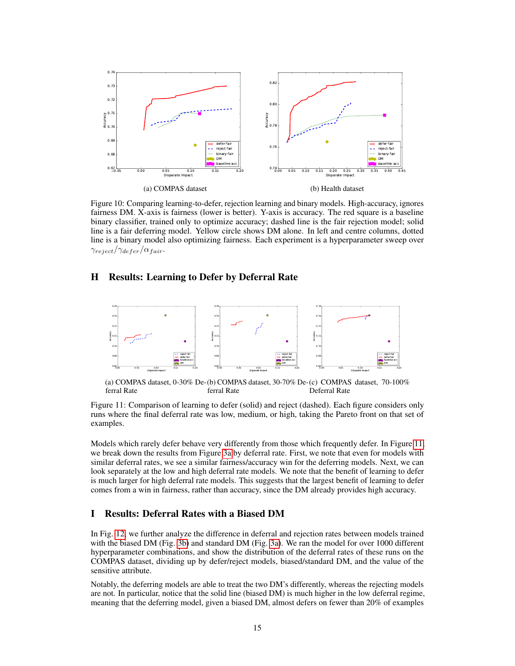

Figure 10: Comparing learning-to-defer, rejection learning and binary models. High-accuracy, ignores fairness DM. X-axis is fairness (lower is better). Y-axis is accuracy. The red square is a baseline binary classifier, trained only to optimize accuracy; dashed line is the fair rejection model; solid line is a fair deferring model. Yellow circle shows DM alone. In left and centre columns, dotted line is a binary model also optimizing fairness. Each experiment is a hyperparameter sweep over  $\gamma_{reject}/\gamma_{defer}/\alpha_{fair}.$ 

# <span id="page-14-0"></span>H Results: Learning to Defer by Deferral Rate

<span id="page-14-2"></span>

(a) COMPAS dataset, 0-30% De-(b) COMPAS dataset, 30-70% De-(c) COMPAS dataset, 70-100% ferral Rate ferral Rate Deferral Rate

Figure 11: Comparison of learning to defer (solid) and reject (dashed). Each figure considers only runs where the final deferral rate was low, medium, or high, taking the Pareto front on that set of examples.

Models which rarely defer behave very differently from those which frequently defer. In Figure [11,](#page-14-2) we break down the results from Figure [3a](#page-6-1) by deferral rate. First, we note that even for models with similar deferral rates, we see a similar fairness/accuracy win for the deferring models. Next, we can look separately at the low and high deferral rate models. We note that the benefit of learning to defer is much larger for high deferral rate models. This suggests that the largest benefit of learning to defer comes from a win in fairness, rather than accuracy, since the DM already provides high accuracy.

#### <span id="page-14-1"></span>I Results: Deferral Rates with a Biased DM

In Fig. [12,](#page-15-0) we further analyze the difference in deferral and rejection rates between models trained with the biased DM (Fig. [3b\)](#page-6-1) and standard DM (Fig. [3a\)](#page-6-1). We ran the model for over 1000 different hyperparameter combinations, and show the distribution of the deferral rates of these runs on the COMPAS dataset, dividing up by defer/reject models, biased/standard DM, and the value of the sensitive attribute.

Notably, the deferring models are able to treat the two DM's differently, whereas the rejecting models are not. In particular, notice that the solid line (biased DM) is much higher in the low deferral regime, meaning that the deferring model, given a biased DM, almost defers on fewer than 20% of examples